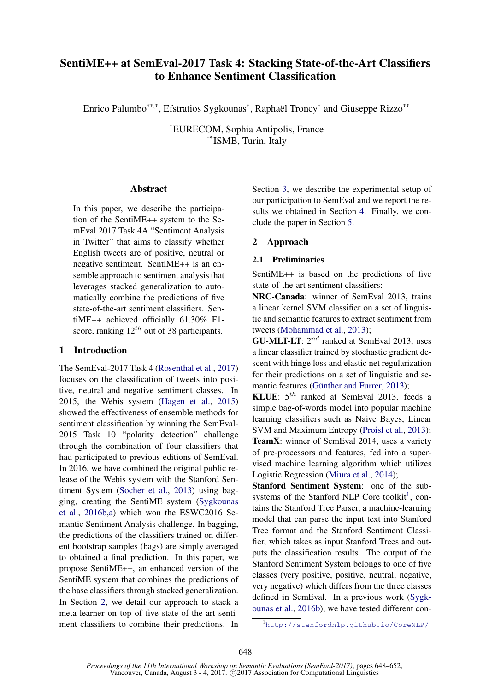# SentiME++ at SemEval-2017 Task 4: Stacking State-of-the-Art Classifiers to Enhance Sentiment Classification

Enrico Palumbo\*\*\*\*, Efstratios Sygkounas\*, Raphaël Troncy\* and Giuseppe Rizzo\*\*\*

\*EURECOM, Sophia Antipolis, France \*\*ISMB, Turin, Italy

### Abstract

In this paper, we describe the participation of the SentiME++ system to the SemEval 2017 Task 4A "Sentiment Analysis in Twitter" that aims to classify whether English tweets are of positive, neutral or negative sentiment. SentiME++ is an ensemble approach to sentiment analysis that leverages stacked generalization to automatically combine the predictions of five state-of-the-art sentiment classifiers. SentiME++ achieved officially 61.30% F1 score, ranking  $12^{th}$  out of 38 participants.

## 1 Introduction

The SemEval-2017 Task 4 (Rosenthal et al., 2017) focuses on the classification of tweets into positive, neutral and negative sentiment classes. In 2015, the Webis system (Hagen et al., 2015) showed the effectiveness of ensemble methods for sentiment classification by winning the SemEval-2015 Task 10 "polarity detection" challenge through the combination of four classifiers that had participated to previous editions of SemEval. In 2016, we have combined the original public release of the Webis system with the Stanford Sentiment System (Socher et al., 2013) using bagging, creating the SentiME system (Sygkounas et al., 2016b,a) which won the ESWC2016 Semantic Sentiment Analysis challenge. In bagging, the predictions of the classifiers trained on different bootstrap samples (bags) are simply averaged to obtained a final prediction. In this paper, we propose SentiME++, an enhanced version of the SentiME system that combines the predictions of the base classifiers through stacked generalization. In Section 2, we detail our approach to stack a meta-learner on top of five state-of-the-art sentiment classifiers to combine their predictions. In Section 3, we describe the experimental setup of our participation to SemEval and we report the results we obtained in Section 4. Finally, we conclude the paper in Section 5.

## 2 Approach

#### 2.1 Preliminaries

SentiME++ is based on the predictions of five state-of-the-art sentiment classifiers:

NRC-Canada: winner of SemEval 2013, trains a linear kernel SVM classifier on a set of linguistic and semantic features to extract sentiment from tweets (Mohammad et al., 2013);

**GU-MLT-LT**:  $2^{nd}$  ranked at SemEval 2013, uses a linear classifier trained by stochastic gradient descent with hinge loss and elastic net regularization for their predictions on a set of linguistic and semantic features (Günther and Furrer, 2013);

KLUE:  $5^{th}$  ranked at SemEval 2013, feeds a simple bag-of-words model into popular machine learning classifiers such as Naive Bayes, Linear SVM and Maximum Entropy (Proisl et al., 2013); TeamX: winner of SemEval 2014, uses a variety of pre-processors and features, fed into a supervised machine learning algorithm which utilizes Logistic Regression (Miura et al., 2014);

Stanford Sentiment System: one of the subsystems of the Stanford NLP Core toolkit<sup>1</sup>, contains the Stanford Tree Parser, a machine-learning model that can parse the input text into Stanford Tree format and the Stanford Sentiment Classifier, which takes as input Stanford Trees and outputs the classification results. The output of the Stanford Sentiment System belongs to one of five classes (very positive, positive, neutral, negative, very negative) which differs from the three classes defined in SemEval. In a previous work (Sygkounas et al., 2016b), we have tested different con-

<sup>1</sup>http://stanfordnlp.github.io/CoreNLP/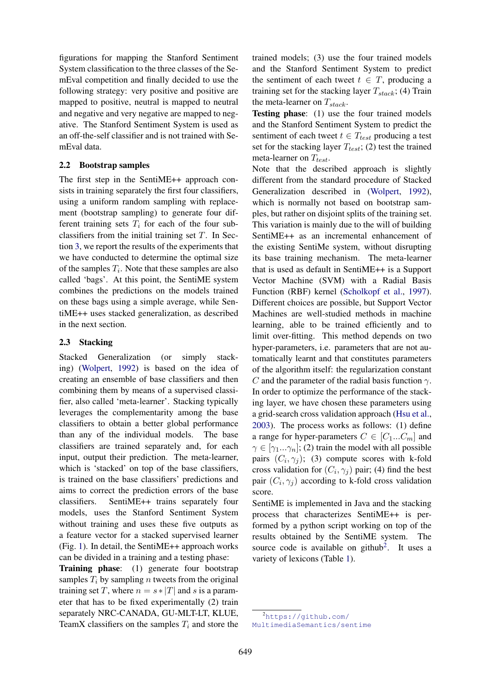figurations for mapping the Stanford Sentiment System classification to the three classes of the SemEval competition and finally decided to use the following strategy: very positive and positive are mapped to positive, neutral is mapped to neutral and negative and very negative are mapped to negative. The Stanford Sentiment System is used as an off-the-self classifier and is not trained with SemEval data.

#### 2.2 Bootstrap samples

The first step in the SentiME++ approach consists in training separately the first four classifiers, using a uniform random sampling with replacement (bootstrap sampling) to generate four different training sets  $T_i$  for each of the four subclassifiers from the initial training set  $T$ . In Section 3, we report the results of the experiments that we have conducted to determine the optimal size of the samples  $T_i$ . Note that these samples are also called 'bags'. At this point, the SentiME system combines the predictions on the models trained on these bags using a simple average, while SentiME++ uses stacked generalization, as described in the next section.

#### 2.3 Stacking

Stacked Generalization (or simply stacking) (Wolpert, 1992) is based on the idea of creating an ensemble of base classifiers and then combining them by means of a supervised classifier, also called 'meta-learner'. Stacking typically leverages the complementarity among the base classifiers to obtain a better global performance than any of the individual models. The base classifiers are trained separately and, for each input, output their prediction. The meta-learner, which is 'stacked' on top of the base classifiers, is trained on the base classifiers' predictions and aims to correct the prediction errors of the base classifiers. SentiME++ trains separately four models, uses the Stanford Sentiment System without training and uses these five outputs as a feature vector for a stacked supervised learner (Fig. 1). In detail, the SentiME++ approach works can be divided in a training and a testing phase:

Training phase: (1) generate four bootstrap samples  $T_i$  by sampling *n* tweets from the original training set T, where  $n = s * |T|$  and s is a parameter that has to be fixed experimentally (2) train separately NRC-CANADA, GU-MLT-LT, KLUE, TeamX classifiers on the samples  $T_i$  and store the trained models; (3) use the four trained models and the Stanford Sentiment System to predict the sentiment of each tweet  $t \in T$ , producing a training set for the stacking layer  $T_{stack}$ ; (4) Train the meta-learner on  $T_{stack}$ .

Testing phase: (1) use the four trained models and the Stanford Sentiment System to predict the sentiment of each tweet  $t \in T_{test}$  producing a test set for the stacking layer  $T_{test}$ ; (2) test the trained meta-learner on  $T_{test}$ .

Note that the described approach is slightly different from the standard procedure of Stacked Generalization described in (Wolpert, 1992), which is normally not based on bootstrap samples, but rather on disjoint splits of the training set. This variation is mainly due to the will of building SentiME++ as an incremental enhancement of the existing SentiMe system, without disrupting its base training mechanism. The meta-learner that is used as default in SentiME++ is a Support Vector Machine (SVM) with a Radial Basis Function (RBF) kernel (Scholkopf et al., 1997). Different choices are possible, but Support Vector Machines are well-studied methods in machine learning, able to be trained efficiently and to limit over-fitting. This method depends on two hyper-parameters, i.e. parameters that are not automatically learnt and that constitutes parameters of the algorithm itself: the regularization constant C and the parameter of the radial basis function  $\gamma$ . In order to optimize the performance of the stacking layer, we have chosen these parameters using a grid-search cross validation approach (Hsu et al., 2003). The process works as follows: (1) define a range for hyper-parameters  $C \in [C_1...C_m]$  and  $\gamma \in [\gamma_1...\gamma_n]$ ; (2) train the model with all possible pairs  $(C_i, \gamma_j)$ ; (3) compute scores with k-fold cross validation for  $(C_i, \gamma_j)$  pair; (4) find the best pair  $(C_i, \gamma_j)$  according to k-fold cross validation score.

SentiME is implemented in Java and the stacking process that characterizes SentiME++ is performed by a python script working on top of the results obtained by the SentiME system. The source code is available on github<sup>2</sup>. It uses a variety of lexicons (Table 1).

<sup>2</sup>https://github.com/

MultimediaSemantics/sentime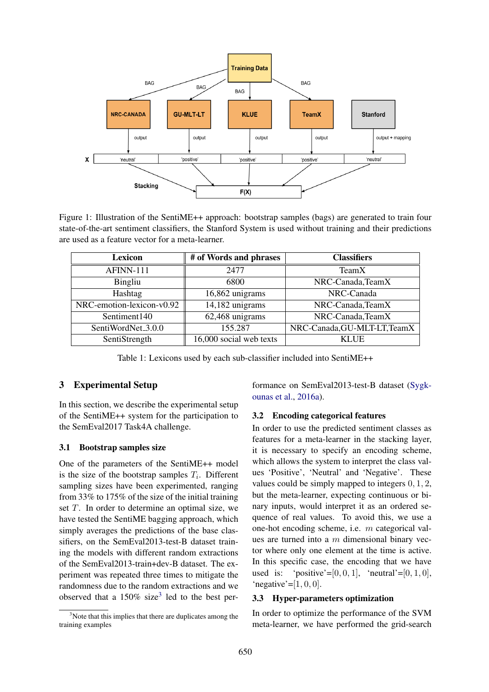

Figure 1: Illustration of the SentiME++ approach: bootstrap samples (bags) are generated to train four state-of-the-art sentiment classifiers, the Stanford System is used without training and their predictions are used as a feature vector for a meta-learner.

| <b>Lexicon</b>                 | # of Words and phrases  | <b>Classifiers</b>           |  |
|--------------------------------|-------------------------|------------------------------|--|
| AFINN-111                      | 2477                    | TeamX                        |  |
| <b>Bingliu</b>                 | 6800                    | NRC-Canada, TeamX            |  |
| Hashtag                        | 16,862 unigrams         | NRC-Canada                   |  |
| NRC-emotion-lexicon-v0.92      | 14,182 unigrams         | NRC-Canada, TeamX            |  |
| Sentiment140                   | 62,468 unigrams         | NRC-Canada, TeamX            |  |
| SentiWordNet <sub>-3.0.0</sub> | 155.287                 | NRC-Canada, GU-MLT-LT, TeamX |  |
| SentiStrength                  | 16,000 social web texts | <b>KLUE</b>                  |  |

Table 1: Lexicons used by each sub-classifier included into SentiME++

# 3 Experimental Setup

In this section, we describe the experimental setup of the SentiME++ system for the participation to the SemEval2017 Task4A challenge.

#### 3.1 Bootstrap samples size

One of the parameters of the SentiME++ model is the size of the bootstrap samples  $T_i$ . Different sampling sizes have been experimented, ranging from 33% to 175% of the size of the initial training set  $T$ . In order to determine an optimal size, we have tested the SentiME bagging approach, which simply averages the predictions of the base classifiers, on the SemEval2013-test-B dataset training the models with different random extractions of the SemEval2013-train+dev-B dataset. The experiment was repeated three times to mitigate the randomness due to the random extractions and we observed that a  $150\%$  size<sup>3</sup> led to the best performance on SemEval2013-test-B dataset (Sygkounas et al., 2016a).

#### 3.2 Encoding categorical features

In order to use the predicted sentiment classes as features for a meta-learner in the stacking layer, it is necessary to specify an encoding scheme, which allows the system to interpret the class values 'Positive', 'Neutral' and 'Negative'. These values could be simply mapped to integers 0, 1, 2, but the meta-learner, expecting continuous or binary inputs, would interpret it as an ordered sequence of real values. To avoid this, we use a one-hot encoding scheme, i.e. m categorical values are turned into a  $m$  dimensional binary vector where only one element at the time is active. In this specific case, the encoding that we have used is: 'positive'=[0, 0, 1], 'neutral'=[0, 1, 0], 'negative'= $[1, 0, 0]$ .

#### 3.3 Hyper-parameters optimization

In order to optimize the performance of the SVM meta-learner, we have performed the grid-search

 $3$ Note that this implies that there are duplicates among the training examples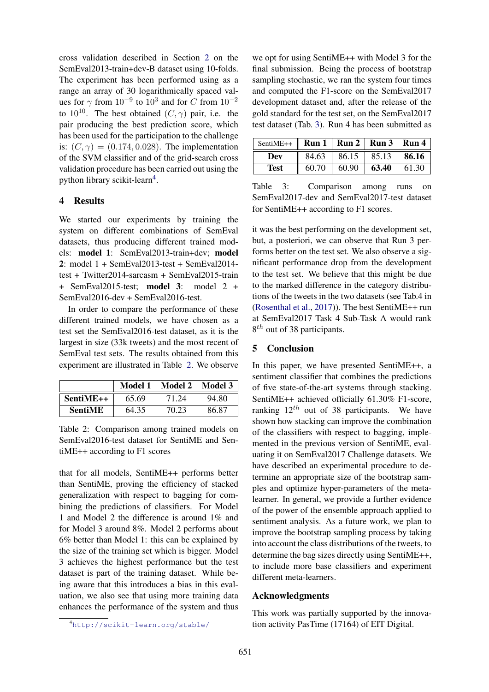cross validation described in Section 2 on the SemEval2013-train+dev-B dataset using 10-folds. The experiment has been performed using as a range an array of 30 logarithmically spaced values for  $\gamma$  from  $10^{-9}$  to  $10^3$  and for C from  $10^{-2}$ to  $10^{10}$ . The best obtained  $(C, \gamma)$  pair, i.e. the pair producing the best prediction score, which has been used for the participation to the challenge is:  $(C, \gamma) = (0.174, 0.028)$ . The implementation of the SVM classifier and of the grid-search cross validation procedure has been carried out using the python library scikit-learn<sup>4</sup>.

## 4 Results

We started our experiments by training the system on different combinations of SemEval datasets, thus producing different trained models: model 1: SemEval2013-train+dev; model 2: model 1 + SemEval2013-test + SemEval2014 test + Twitter2014-sarcasm + SemEval2015-train + SemEval2015-test; model 3: model 2 + SemEval2016-dev + SemEval2016-test.

In order to compare the performance of these different trained models, we have chosen as a test set the SemEval2016-test dataset, as it is the largest in size (33k tweets) and the most recent of SemEval test sets. The results obtained from this experiment are illustrated in Table 2. We observe

|                |       | Model 1   Model 2   Model 3 |       |
|----------------|-------|-----------------------------|-------|
| SentiME++      | 65.69 | 71.24                       | 94.80 |
| <b>SentiME</b> | 64.35 | 70.23                       | 86.87 |

Table 2: Comparison among trained models on SemEval2016-test dataset for SentiME and SentiME++ according to F1 scores

that for all models, SentiME++ performs better than SentiME, proving the efficiency of stacked generalization with respect to bagging for combining the predictions of classifiers. For Model 1 and Model 2 the difference is around 1% and for Model 3 around 8%. Model 2 performs about 6% better than Model 1: this can be explained by the size of the training set which is bigger. Model 3 achieves the highest performance but the test dataset is part of the training dataset. While being aware that this introduces a bias in this evaluation, we also see that using more training data enhances the performance of the system and thus

we opt for using SentiME++ with Model 3 for the final submission. Being the process of bootstrap sampling stochastic, we ran the system four times and computed the F1-score on the SemEval2017 development dataset and, after the release of the gold standard for the test set, on the SemEval2017 test dataset (Tab. 3). Run 4 has been submitted as

| SentiME++ $\parallel$ Run 1   Run 2   Run 3   Run 4 |       |       |       |       |
|-----------------------------------------------------|-------|-------|-------|-------|
| Dev                                                 | 84.63 | 86.15 | 85.13 | 86.16 |
| <b>Test</b>                                         | 60.70 | 60.90 | 63.40 | 61.30 |

Table 3: Comparison among runs on SemEval2017-dev and SemEval2017-test dataset for SentiME++ according to F1 scores.

it was the best performing on the development set, but, a posteriori, we can observe that Run 3 performs better on the test set. We also observe a significant performance drop from the development to the test set. We believe that this might be due to the marked difference in the category distributions of the tweets in the two datasets (see Tab.4 in (Rosenthal et al., 2017)). The best SentiME++ run at SemEval2017 Task 4 Sub-Task A would rank 8<sup>th</sup> out of 38 participants.

# 5 Conclusion

In this paper, we have presented SentiME++, a sentiment classifier that combines the predictions of five state-of-the-art systems through stacking. SentiME++ achieved officially 61.30% F1-score, ranking  $12^{th}$  out of 38 participants. We have shown how stacking can improve the combination of the classifiers with respect to bagging, implemented in the previous version of SentiME, evaluating it on SemEval2017 Challenge datasets. We have described an experimental procedure to determine an appropriate size of the bootstrap samples and optimize hyper-parameters of the metalearner. In general, we provide a further evidence of the power of the ensemble approach applied to sentiment analysis. As a future work, we plan to improve the bootstrap sampling process by taking into account the class distributions of the tweets, to determine the bag sizes directly using SentiME++, to include more base classifiers and experiment different meta-learners.

## Acknowledgments

This work was partially supported by the innovation activity PasTime (17164) of EIT Digital.

<sup>4</sup>http://scikit-learn.org/stable/